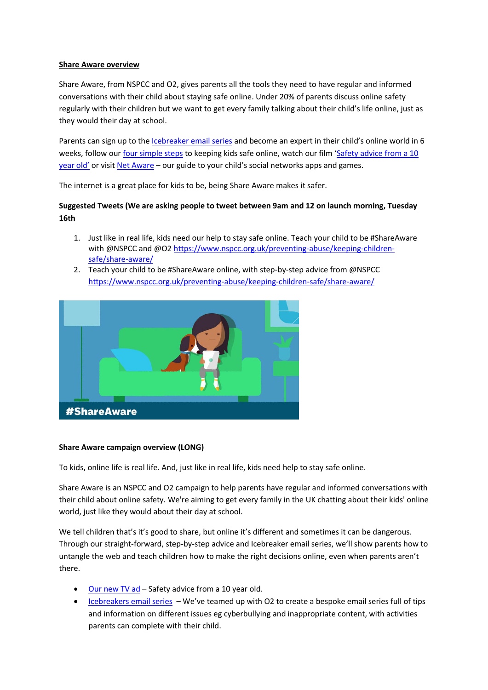## **Share Aware overview**

Share Aware, from NSPCC and O2, gives parents all the tools they need to have regular and informed conversations with their child about staying safe online. Under 20% of parents discuss online safety regularly with their children but we want to get every family talking about their child's life online, just as they would their day at school.

Parents can sign up to the [Icebreaker email series](https://nspcc.o2.co.uk/) and become an expert in their child's online world in 6 weeks, follow our [four simple steps](file:///C:/Users/hfitzger/AppData/Local/Microsoft/Windows/Temporary%20Internet%20Files/Content.Outlook/P81UE97C/nspcc.org.uk/shareaware) to keeping kids safe online, watch our film 'Safety advice from a 10 [year old'](https://www.youtube.com/watch?v=lGIEKGJRWEo&feature=youtu.be) or visi[t Net Aware](https://www.net-aware.org.uk/) - our guide to your child's social networks apps and games.

The internet is a great place for kids to be, being Share Aware makes it safer.

## **Suggested Tweets (We are asking people to tweet between 9am and 12 on launch morning, Tuesday 16th**

- 1. Just like in real life, kids need our help to stay safe online. Teach your child to be #ShareAware with @NSPCC and @O2 [https://www.nspcc.org.uk/preventing-abuse/keeping-children](https://www.nspcc.org.uk/preventing-abuse/keeping-children-safe/share-aware/)[safe/share-aware/](https://www.nspcc.org.uk/preventing-abuse/keeping-children-safe/share-aware/)
- 2. Teach your child to be #ShareAware online, with step-by-step advice from @NSPCC <https://www.nspcc.org.uk/preventing-abuse/keeping-children-safe/share-aware/>



## **Share Aware campaign overview (LONG)**

To kids, online life is real life. And, just like in real life, kids need help to stay safe online.

Share Aware is an NSPCC and O2 campaign to help parents have regular and informed conversations with their child about online safety. We're aiming to get every family in the UK chatting about their kids' online world, just like they would about their day at school.

We tell children that's it's good to share, but online it's different and sometimes it can be dangerous. Through our straight-forward, step-by-step advice and Icebreaker email series, we'll show parents how to untangle the web and teach children how to make the right decisions online, even when parents aren't there.

- [Our new TV ad](https://www.youtube.com/watch?v=lGIEKGJRWEo&feature=youtu.be) Safety advice from a 10 year old.
- [Icebreakers email series](https://nspcc.o2.co.uk/) We've teamed up with O2 to create a bespoke email series full of tips and information on different issues eg cyberbullying and inappropriate content, with activities parents can complete with their child.